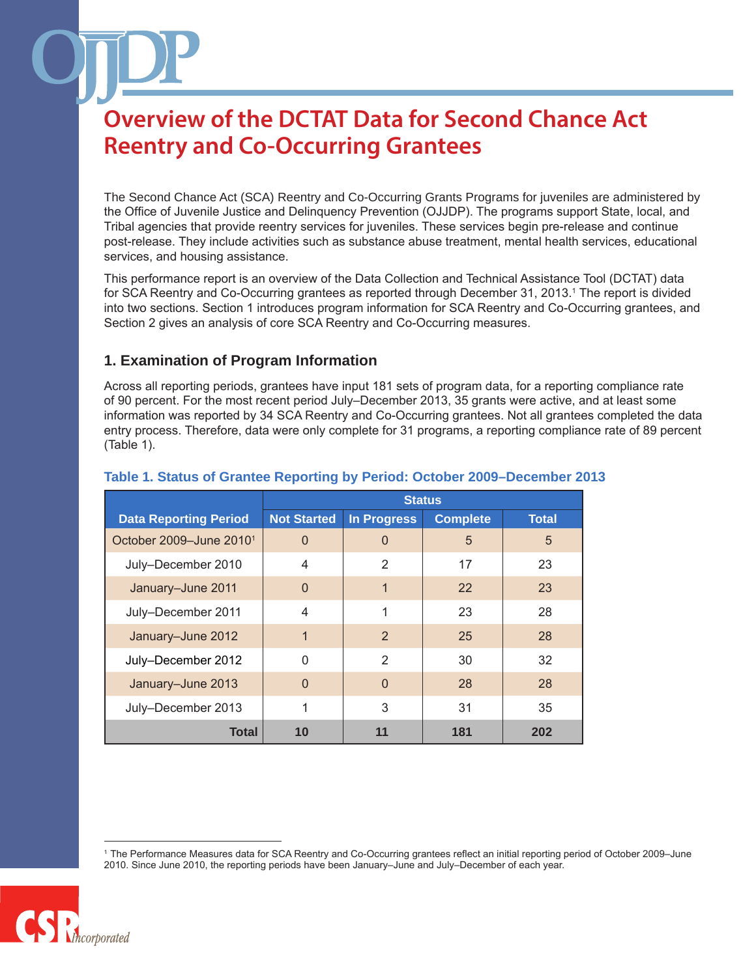The Second Chance Act (SCA) Reentry and Co-Occurring Grants Programs for juveniles are administered by the Office of Juvenile Justice and Delinquency Prevention (OJJDP). The programs support State, local, and Tribal agencies that provide reentry services for juveniles. These services begin pre-release and continue post-release. They include activities such as substance abuse treatment, mental health services, educational services, and housing assistance.

This performance report is an overview of the Data Collection and Technical Assistance Tool (DCTAT) data for SCA Reentry and Co-Occurring grantees as reported through December 31, 2013.1 The report is divided into two sections. Section 1 introduces program information for SCA Reentry and Co-Occurring grantees, and Section 2 gives an analysis of core SCA Reentry and Co-Occurring measures.

#### **1. Examination of Program Information**

Across all reporting periods, grantees have input 181 sets of program data, for a reporting compliance rate of 90 percent. For the most recent period July–December 2013, 35 grants were active, and at least some information was reported by 34 SCA Reentry and Co-Occurring grantees. Not all grantees completed the data entry process. Therefore, data were only complete for 31 programs, a reporting compliance rate of 89 percent (Table 1).

|                                     | <b>Status</b>      |                    |                 |              |
|-------------------------------------|--------------------|--------------------|-----------------|--------------|
| <b>Data Reporting Period</b>        | <b>Not Started</b> | <b>In Progress</b> | <b>Complete</b> | <b>Total</b> |
| October 2009-June 2010 <sup>1</sup> | $\Omega$           | 0                  | 5               | 5            |
| July-December 2010                  | 4                  | 2                  | 17              | 23           |
| January-June 2011                   | $\Omega$           | 1                  | 22              | 23           |
| July-December 2011                  | 4                  | 1                  | 23              | 28           |
| January-June 2012                   | 1                  | 2                  | 25              | 28           |
| July-December 2012                  | U                  | $\mathcal{P}$      | 30              | 32           |
| January-June 2013                   | $\Omega$           | $\Omega$           | 28              | 28           |
| July-December 2013                  |                    | 3                  | 31              | 35           |
| Total                               | 10                 | 11                 | 181             | 202          |

#### **Table 1. Status of Grantee Reporting by Period: October 2009–December 2013**

<sup>1</sup> The Performance Measures data for SCA Reentry and Co-Occurring grantees reflect an initial reporting period of October 2009–June 2010. Since June 2010, the reporting periods have been January–June and July–December of each year.

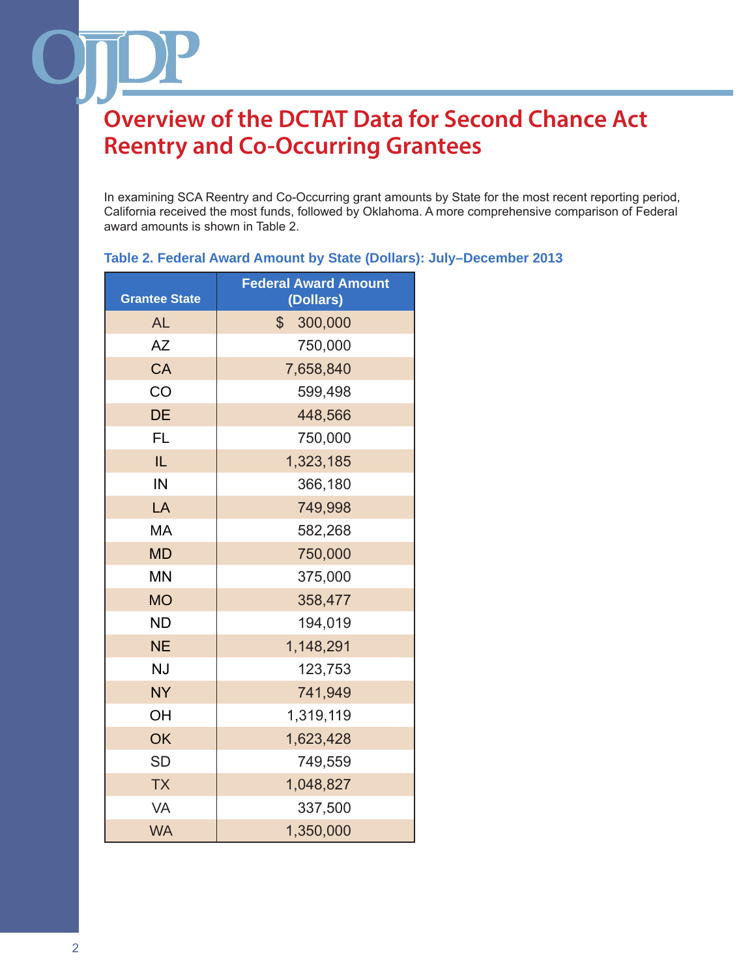In examining SCA Reentry and Co-Occurring grant amounts by State for the most recent reporting period, California received the most funds, followed by Oklahoma. A more comprehensive comparison of Federal award amounts is shown in Table 2.

| Table 2. Federal Award Amount by State (Dollars): July-December 2013 |  |  |
|----------------------------------------------------------------------|--|--|
|                                                                      |  |  |

| <b>Grantee State</b> | <b>Federal Award Amount</b><br>(Dollars) |  |  |
|----------------------|------------------------------------------|--|--|
| <b>AL</b>            | $\mathbb{S}$<br>300,000                  |  |  |
| AΖ                   | 750,000                                  |  |  |
| CA                   | 7,658,840                                |  |  |
| CO                   | 599,498                                  |  |  |
| <b>DE</b>            | 448,566                                  |  |  |
| <b>FL</b>            | 750,000                                  |  |  |
| IL                   | 1,323,185                                |  |  |
| IN                   | 366,180                                  |  |  |
| LA                   | 749,998                                  |  |  |
| MA                   | 582,268                                  |  |  |
| <b>MD</b>            | 750,000                                  |  |  |
| <b>MN</b>            | 375,000                                  |  |  |
| <b>MO</b>            | 358,477                                  |  |  |
| <b>ND</b>            | 194,019                                  |  |  |
| <b>NE</b>            | 1,148,291                                |  |  |
| <b>NJ</b>            | 123,753                                  |  |  |
| <b>NY</b>            | 741,949                                  |  |  |
| OH                   | 1,319,119                                |  |  |
| OK                   | 1,623,428                                |  |  |
| <b>SD</b>            | 749,559                                  |  |  |
| <b>TX</b>            | 1,048,827                                |  |  |
| VA                   | 337,500                                  |  |  |
| <b>WA</b>            | 1,350,000                                |  |  |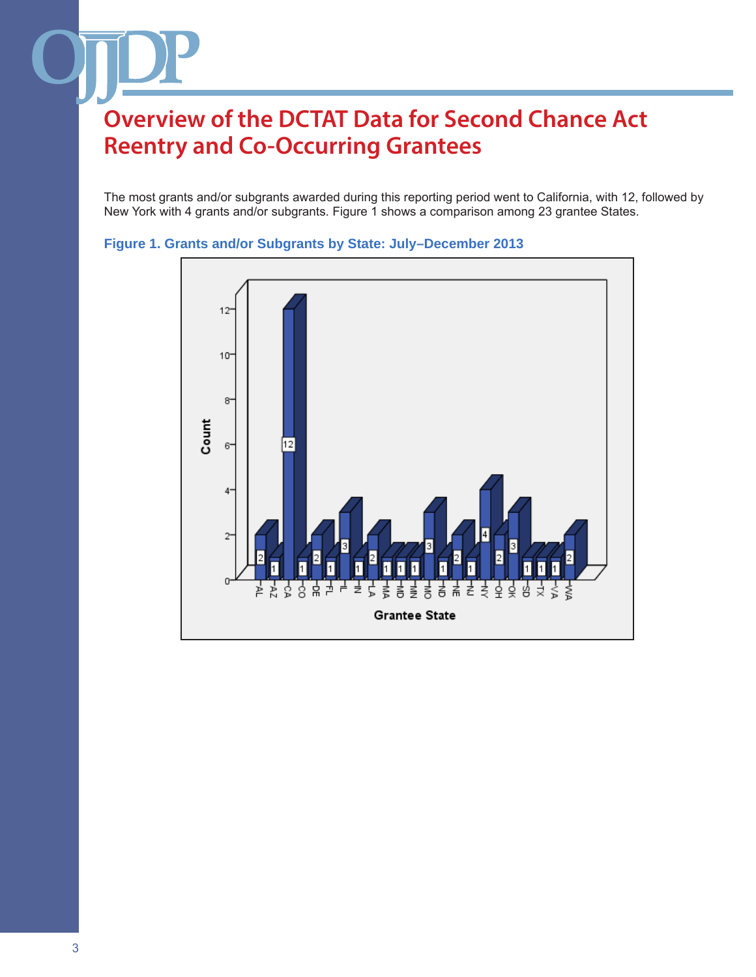The most grants and/or subgrants awarded during this reporting period went to California, with 12, followed by New York with 4 grants and/or subgrants. Figure 1 shows a comparison among 23 grantee States.



#### **Figure 1. Grants and/or Subgrants by State: July–December 2013**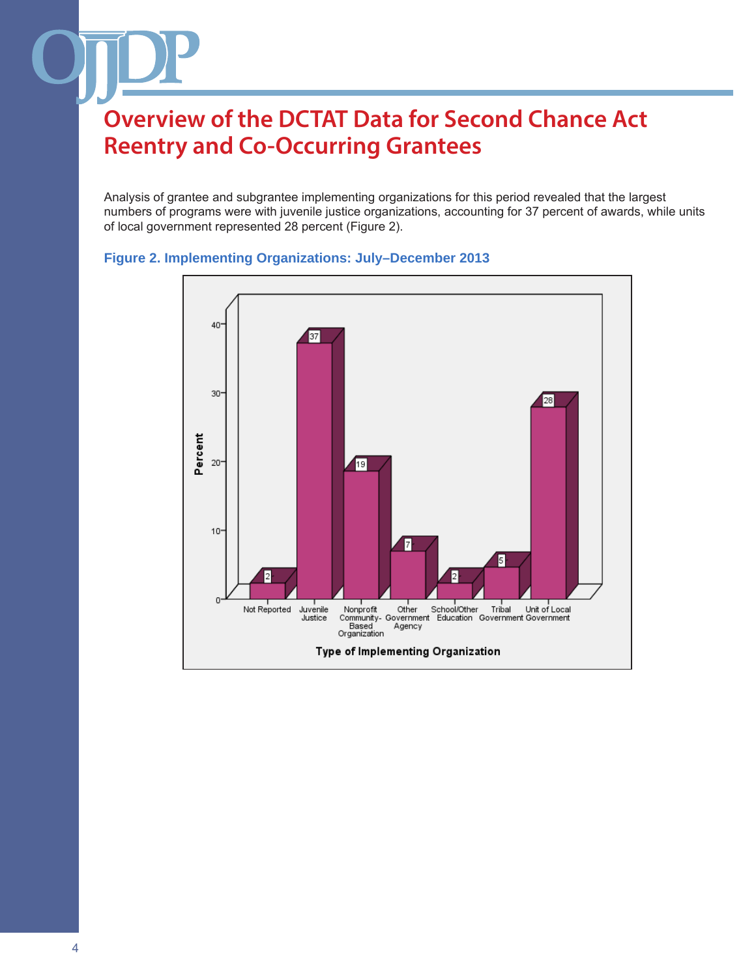Analysis of grantee and subgrantee implementing organizations for this period revealed that the largest numbers of programs were with juvenile justice organizations, accounting for 37 percent of awards, while units of local government represented 28 percent (Figure 2).



#### **Figure 2. Implementing Organizations: July–December 2013**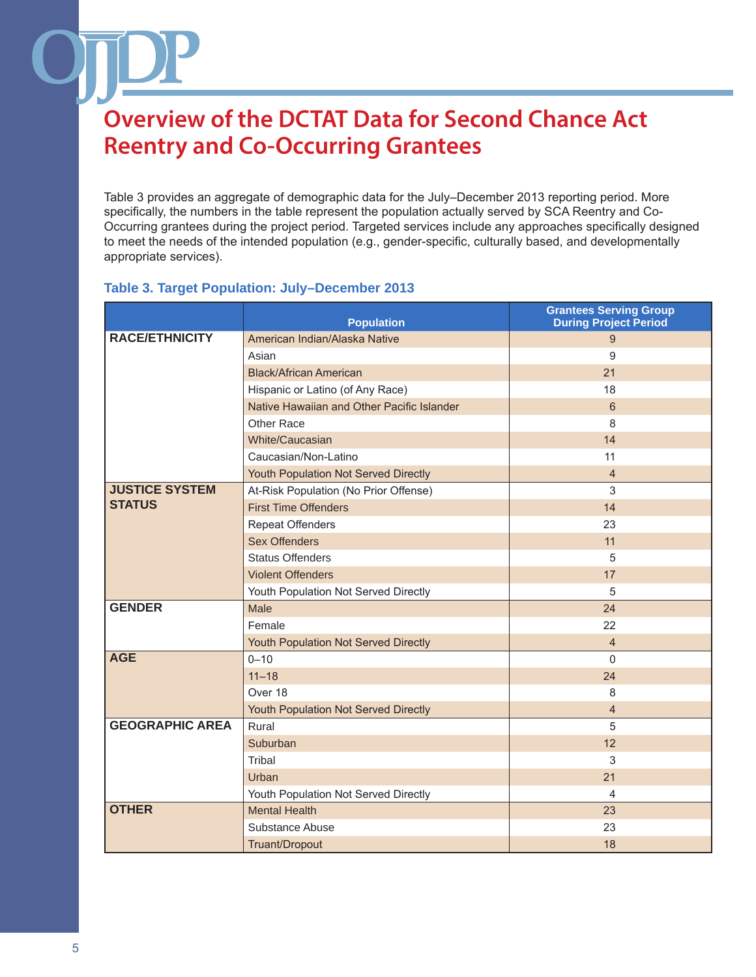Table 3 provides an aggregate of demographic data for the July–December 2013 reporting period. More specifically, the numbers in the table represent the population actually served by SCA Reentry and Co-Occurring grantees during the project period. Targeted services include any approaches specifically designed to meet the needs of the intended population (e.g., gender-specific, culturally based, and developmentally appropriate services).

#### **Table 3. Target Population: July–December 2013**

|                        | <b>Population</b>                          | <b>Grantees Serving Group</b><br><b>During Project Period</b> |
|------------------------|--------------------------------------------|---------------------------------------------------------------|
| <b>RACE/ETHNICITY</b>  | American Indian/Alaska Native              | 9                                                             |
|                        | Asian                                      | 9                                                             |
|                        | <b>Black/African American</b>              | 21                                                            |
|                        | Hispanic or Latino (of Any Race)           | 18                                                            |
|                        | Native Hawaiian and Other Pacific Islander | 6                                                             |
|                        | Other Race                                 | 8                                                             |
|                        | White/Caucasian                            | 14                                                            |
|                        | Caucasian/Non-Latino                       | 11                                                            |
|                        | Youth Population Not Served Directly       | $\overline{4}$                                                |
| <b>JUSTICE SYSTEM</b>  | At-Risk Population (No Prior Offense)      | 3                                                             |
| <b>STATUS</b>          | <b>First Time Offenders</b>                | 14                                                            |
|                        | <b>Repeat Offenders</b>                    | 23                                                            |
|                        | <b>Sex Offenders</b>                       | 11                                                            |
|                        | <b>Status Offenders</b>                    | 5                                                             |
|                        | <b>Violent Offenders</b>                   | 17                                                            |
|                        | Youth Population Not Served Directly       | 5                                                             |
| <b>GENDER</b>          | Male                                       | 24                                                            |
|                        | Female                                     | 22                                                            |
|                        | Youth Population Not Served Directly       | 4                                                             |
| <b>AGE</b>             | $0 - 10$                                   | $\Omega$                                                      |
|                        | $11 - 18$                                  | 24                                                            |
|                        | Over 18                                    | 8                                                             |
|                        | Youth Population Not Served Directly       | 4                                                             |
| <b>GEOGRAPHIC AREA</b> | Rural                                      | 5                                                             |
|                        | Suburban                                   | 12                                                            |
|                        | Tribal                                     | 3                                                             |
|                        | Urban                                      | 21                                                            |
|                        | Youth Population Not Served Directly       | 4                                                             |
| <b>OTHER</b>           | <b>Mental Health</b>                       | 23                                                            |
|                        | Substance Abuse                            | 23                                                            |
|                        | Truant/Dropout                             | 18                                                            |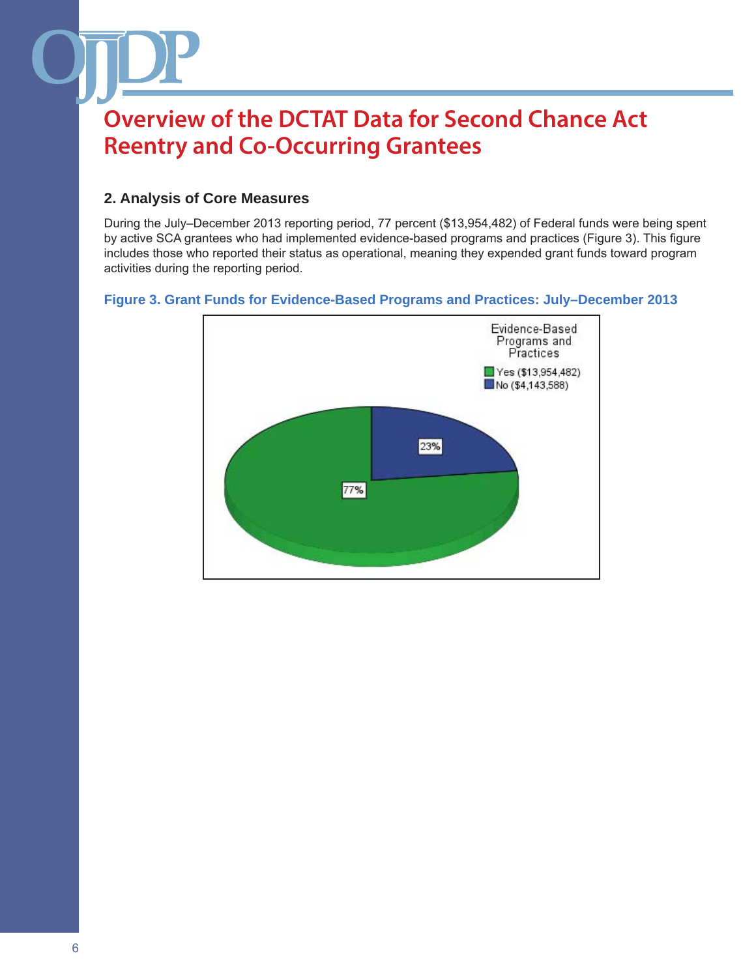#### **2. Analysis of Core Measures**

During the July–December 2013 reporting period, 77 percent (\$13,954,482) of Federal funds were being spent by active SCA grantees who had implemented evidence-based programs and practices (Figure 3). This figure includes those who reported their status as operational, meaning they expended grant funds toward program activities during the reporting period.

#### **Figure 3. Grant Funds for Evidence-Based Programs and Practices: July–December 2013**

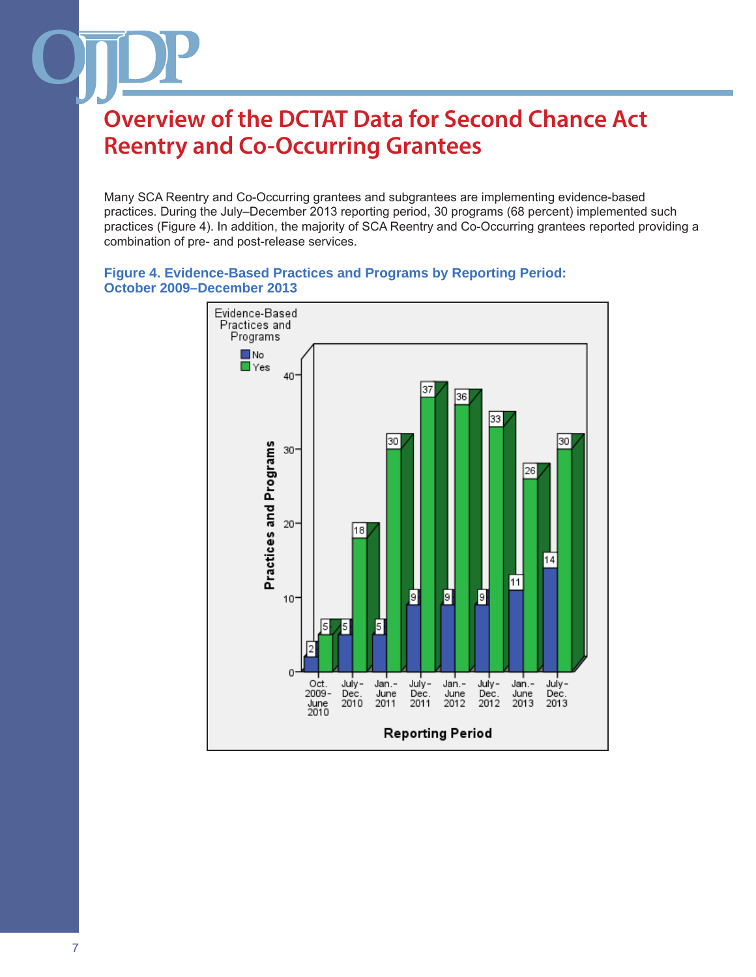Many SCA Reentry and Co-Occurring grantees and subgrantees are implementing evidence-based practices. During the July–December 2013 reporting period, 30 programs (68 percent) implemented such practices (Figure 4). In addition, the majority of SCA Reentry and Co-Occurring grantees reported providing a combination of pre- and post-release services.

#### **Figure 4. Evidence-Based Practices and Programs by Reporting Period: October 2009–December 2013**

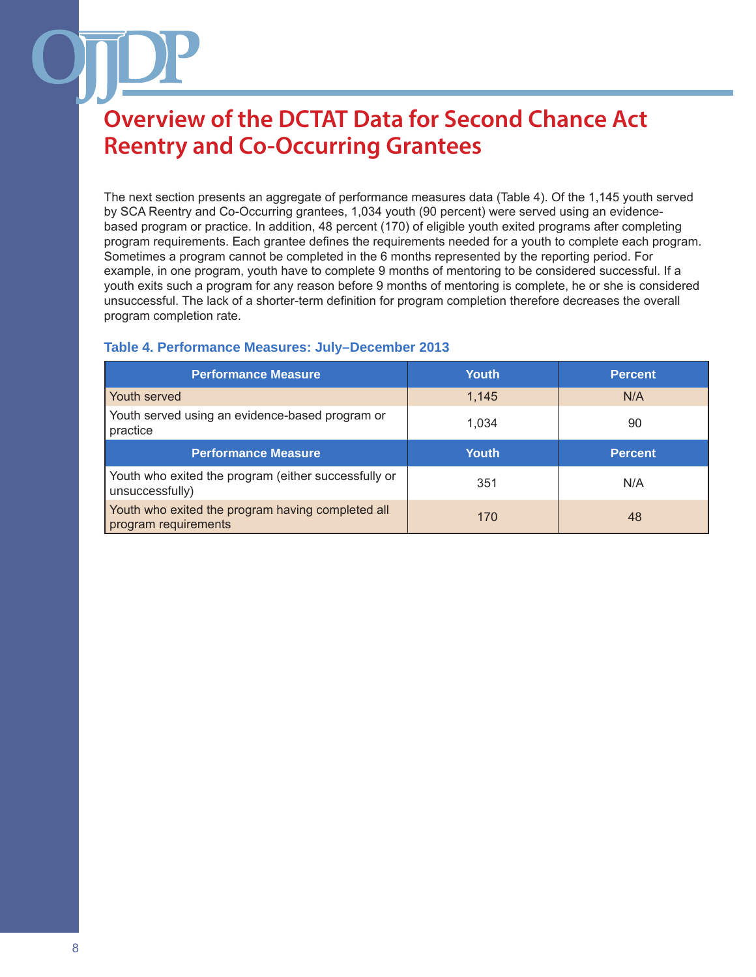The next section presents an aggregate of performance measures data (Table 4). Of the 1,145 youth served by SCA Reentry and Co-Occurring grantees, 1,034 youth (90 percent) were served using an evidencebased program or practice. In addition, 48 percent (170) of eligible youth exited programs after completing program requirements. Each grantee defines the requirements needed for a youth to complete each program. Sometimes a program cannot be completed in the 6 months represented by the reporting period. For example, in one program, youth have to complete 9 months of mentoring to be considered successful. If a youth exits such a program for any reason before 9 months of mentoring is complete, he or she is considered unsuccessful. The lack of a shorter-term definition for program completion therefore decreases the overall program completion rate.

#### **Table 4. Performance Measures: July–December 2013**

| <b>Performance Measure</b>                                                | Youth | <b>Percent</b> |
|---------------------------------------------------------------------------|-------|----------------|
| Youth served                                                              | 1,145 | N/A            |
| Youth served using an evidence-based program or<br>practice               | 1.034 | 90             |
| <b>Performance Measure</b>                                                | Youth | <b>Percent</b> |
| Youth who exited the program (either successfully or<br>unsuccessfully)   | 351   | N/A            |
| Youth who exited the program having completed all<br>program requirements | 170   | 48             |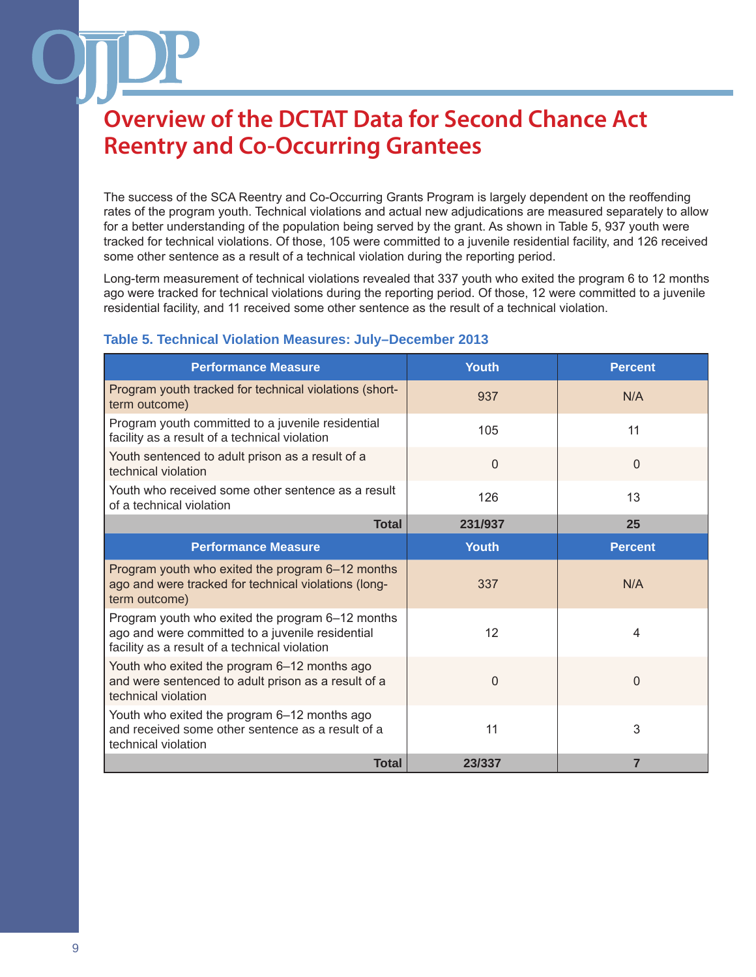The success of the SCA Reentry and Co-Occurring Grants Program is largely dependent on the reoffending rates of the program youth. Technical violations and actual new adjudications are measured separately to allow for a better understanding of the population being served by the grant. As shown in Table 5, 937 youth were tracked for technical violations. Of those, 105 were committed to a juvenile residential facility, and 126 received some other sentence as a result of a technical violation during the reporting period.

Long-term measurement of technical violations revealed that 337 youth who exited the program 6 to 12 months ago were tracked for technical violations during the reporting period. Of those, 12 were committed to a juvenile residential facility, and 11 received some other sentence as the result of a technical violation.

| <b>Performance Measure</b>                                                                                                                            | <b>Youth</b> | <b>Percent</b> |
|-------------------------------------------------------------------------------------------------------------------------------------------------------|--------------|----------------|
| Program youth tracked for technical violations (short-<br>term outcome)                                                                               | 937          | N/A            |
| Program youth committed to a juvenile residential<br>facility as a result of a technical violation                                                    | 105          | 11             |
| Youth sentenced to adult prison as a result of a<br>technical violation                                                                               | $\mathbf 0$  | $\Omega$       |
| Youth who received some other sentence as a result<br>of a technical violation                                                                        | 126          | 13             |
| <b>Total</b>                                                                                                                                          | 231/937      | 25             |
| <b>Performance Measure</b>                                                                                                                            | <b>Youth</b> | <b>Percent</b> |
| Program youth who exited the program 6-12 months<br>ago and were tracked for technical violations (long-<br>term outcome)                             | 337          | N/A            |
| Program youth who exited the program 6-12 months<br>ago and were committed to a juvenile residential<br>facility as a result of a technical violation | 12           | 4              |
| Youth who exited the program 6-12 months ago<br>and were sentenced to adult prison as a result of a<br>technical violation                            | 0            | 0              |
| Youth who exited the program 6-12 months ago<br>and received some other sentence as a result of a<br>technical violation                              | 11           | 3              |
| <b>Total</b>                                                                                                                                          | 23/337       | 7              |

#### **Table 5. Technical Violation Measures: July–December 2013**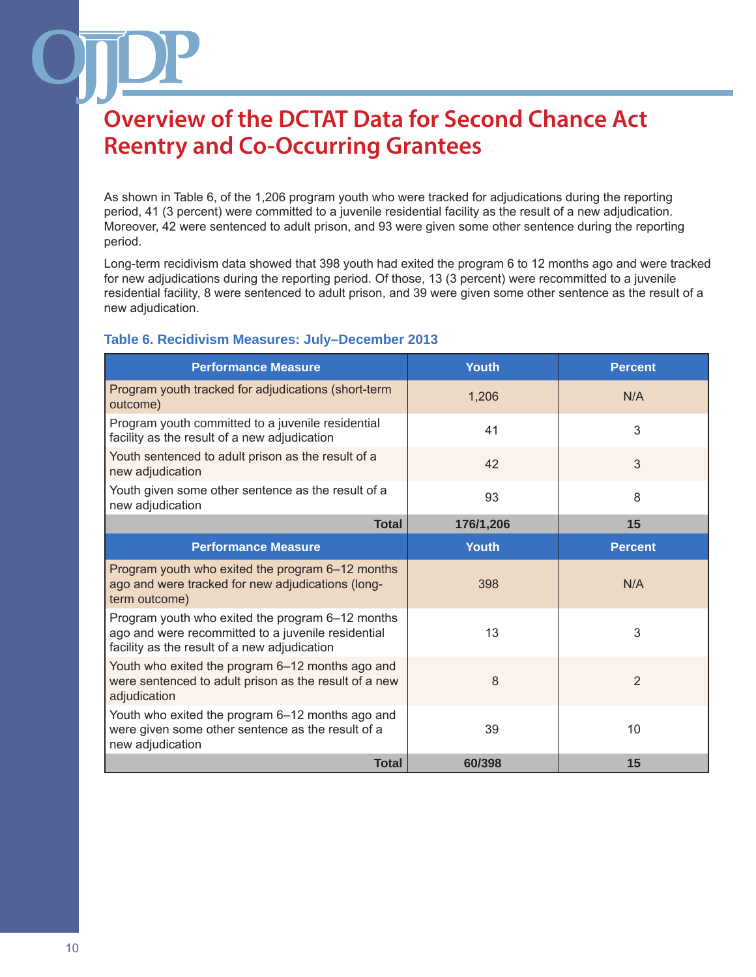As shown in Table 6, of the 1,206 program youth who were tracked for adjudications during the reporting period, 41 (3 percent) were committed to a juvenile residential facility as the result of a new adjudication. Moreover, 42 were sentenced to adult prison, and 93 were given some other sentence during the reporting period.

Long-term recidivism data showed that 398 youth had exited the program 6 to 12 months ago and were tracked for new adjudications during the reporting period. Of those, 13 (3 percent) were recommitted to a juvenile residential facility, 8 were sentenced to adult prison, and 39 were given some other sentence as the result of a new adjudication.

#### **Table 6. Recidivism Measures: July–December 2013**

| <b>Performance Measure</b>                                                                                                                             | <b>Youth</b> | <b>Percent</b> |
|--------------------------------------------------------------------------------------------------------------------------------------------------------|--------------|----------------|
| Program youth tracked for adjudications (short-term<br>outcome)                                                                                        | 1,206        | N/A            |
| Program youth committed to a juvenile residential<br>facility as the result of a new adjudication                                                      | 41           | 3              |
| Youth sentenced to adult prison as the result of a<br>new adjudication                                                                                 | 42           | 3              |
| Youth given some other sentence as the result of a<br>new adjudication                                                                                 | 93           | 8              |
| <b>Total</b>                                                                                                                                           | 176/1,206    | 15             |
| <b>Performance Measure</b>                                                                                                                             | <b>Youth</b> | <b>Percent</b> |
| Program youth who exited the program 6-12 months<br>ago and were tracked for new adjudications (long-<br>term outcome)                                 | 398          | N/A            |
| Program youth who exited the program 6-12 months<br>ago and were recommitted to a juvenile residential<br>facility as the result of a new adjudication | 13           | 3              |
| Youth who exited the program 6-12 months ago and<br>were sentenced to adult prison as the result of a new<br>adjudication                              | 8            | $\overline{2}$ |
| Youth who exited the program 6-12 months ago and<br>were given some other sentence as the result of a<br>new adjudication                              | 39           | 10             |
| <b>Total</b>                                                                                                                                           | 60/398       | 15             |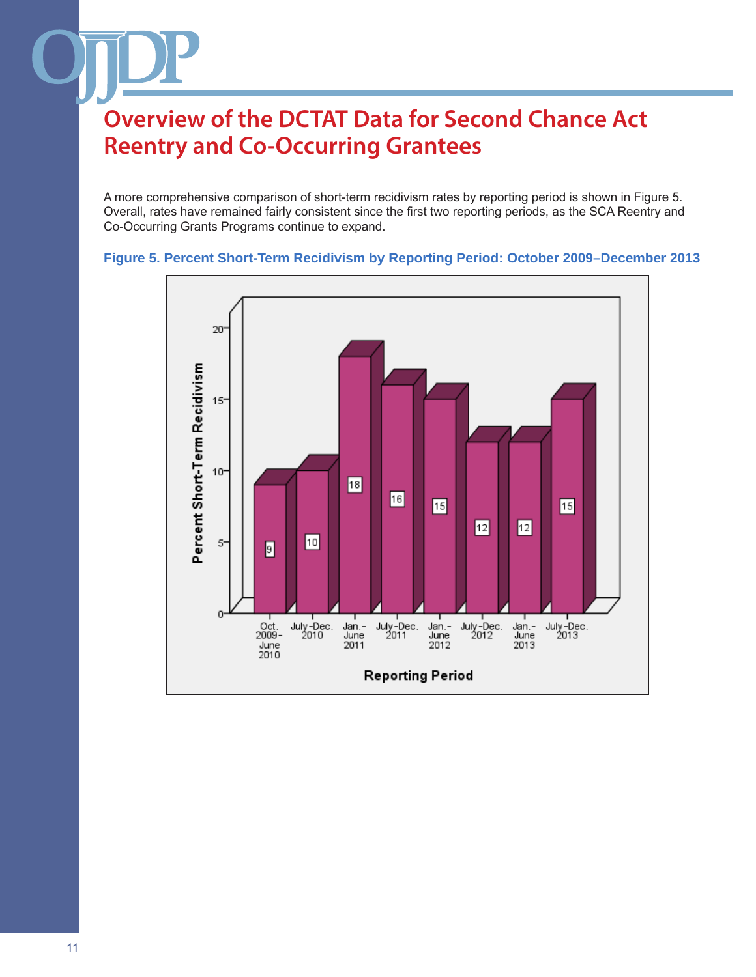A more comprehensive comparison of short-term recidivism rates by reporting period is shown in Figure 5. Overall, rates have remained fairly consistent since the first two reporting periods, as the SCA Reentry and Co-Occurring Grants Programs continue to expand.

#### **Figure 5. Percent Short-Term Recidivism by Reporting Period: October 2009–December 2013**

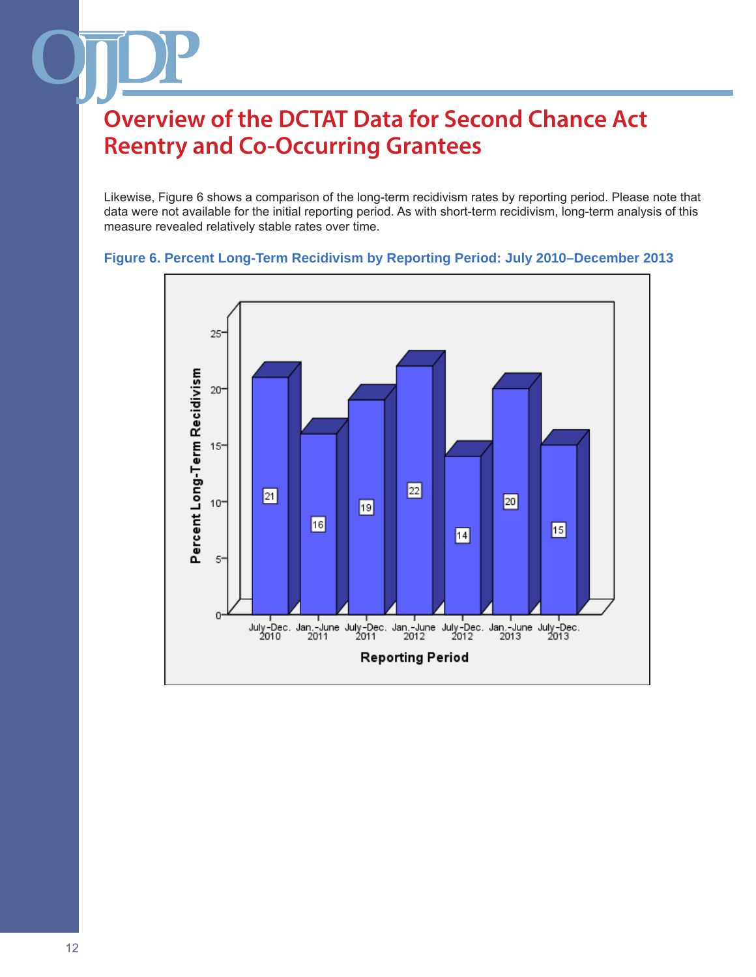Likewise, Figure 6 shows a comparison of the long-term recidivism rates by reporting period. Please note that data were not available for the initial reporting period. As with short-term recidivism, long-term analysis of this measure revealed relatively stable rates over time.



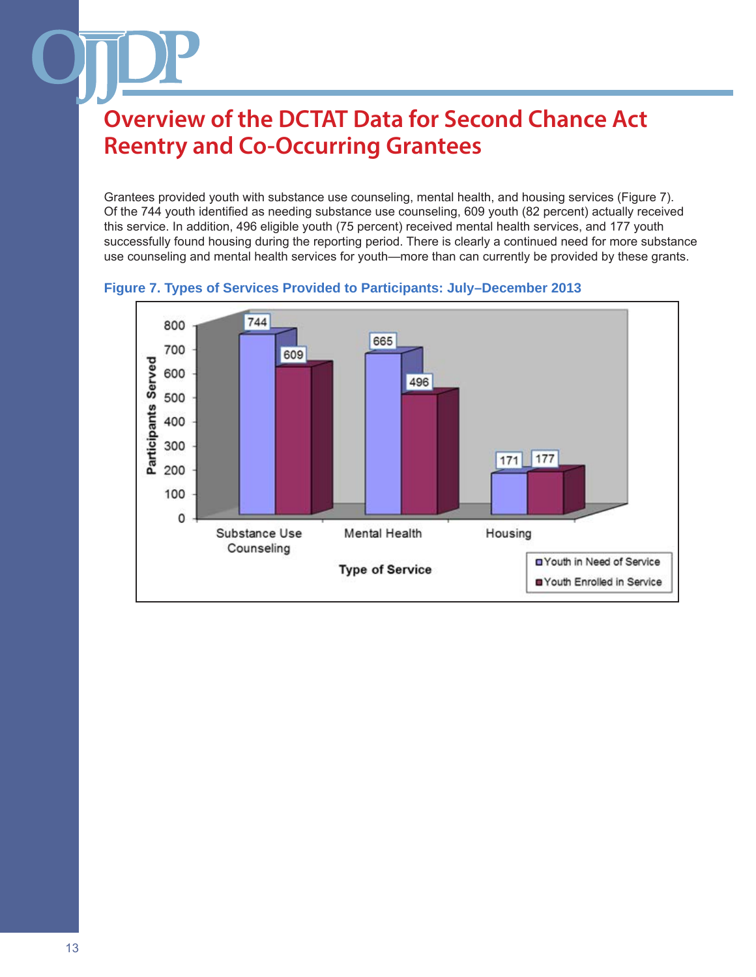Grantees provided youth with substance use counseling, mental health, and housing services (Figure 7). Of the 744 youth identified as needing substance use counseling, 609 youth (82 percent) actually received this service. In addition, 496 eligible youth (75 percent) received mental health services, and 177 youth successfully found housing during the reporting period. There is clearly a continued need for more substance use counseling and mental health services for youth—more than can currently be provided by these grants.



#### **Figure 7. Types of Services Provided to Participants: July–December 2013**